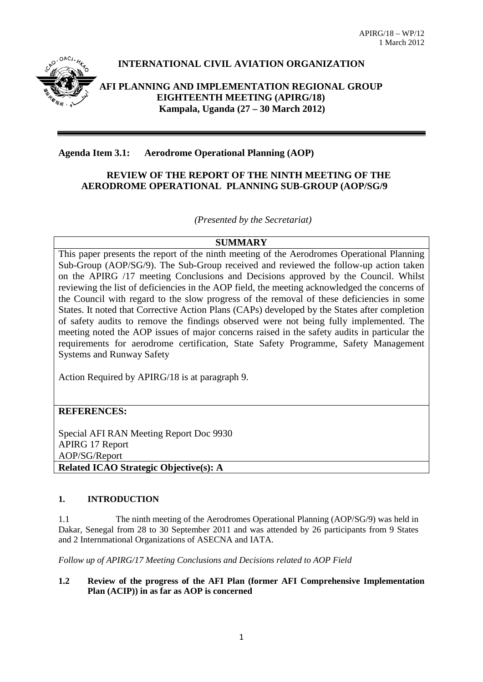

# **INTERNATIONAL CIVIL AVIATION ORGANIZATION**

**AFI PLANNING AND IMPLEMENTATION REGIONAL GROUP EIGHTEENTH MEETING (APIRG/18) Kampala, Uganda (27 – 30 March 2012)**

## **Agenda Item 3.1: Aerodrome Operational Planning (AOP)**

## **REVIEW OF THE REPORT OF THE NINTH MEETING OF THE AERODROME OPERATIONAL PLANNING SUB-GROUP (AOP/SG/9**

*(Presented by the Secretariat)*

## **SUMMARY**

This paper presents the report of the ninth meeting of the Aerodromes Operational Planning Sub-Group (AOP/SG/9). The Sub-Group received and reviewed the follow-up action taken on the APIRG /17 meeting Conclusions and Decisions approved by the Council. Whilst reviewing the list of deficiencies in the AOP field, the meeting acknowledged the concerns of the Council with regard to the slow progress of the removal of these deficiencies in some States. It noted that Corrective Action Plans (CAPs) developed by the States after completion of safety audits to remove the findings observed were not being fully implemented. The meeting noted the AOP issues of major concerns raised in the safety audits in particular the requirements for aerodrome certification, State Safety Programme, Safety Management Systems and Runway Safety

Action Required by APIRG/18 is at paragraph 9.

## **REFERENCES:**

Special AFI RAN Meeting Report Doc 9930 APIRG 17 Report AOP/SG/Report **Related ICAO Strategic Objective(s): A**

## **1. INTRODUCTION**

1.1 The ninth meeting of the Aerodromes Operational Planning (AOP/SG/9) was held in Dakar, Senegal from 28 to 30 September 2011 and was attended by 26 participants from 9 States and 2 Internmational Organizations of ASECNA and IATA.

*Follow up of APIRG/17 Meeting Conclusions and Decisions related to AOP Field*

#### **1.2 Review of the progress of the AFI Plan (former AFI Comprehensive Implementation Plan (ACIP)) in as far as AOP is concerned**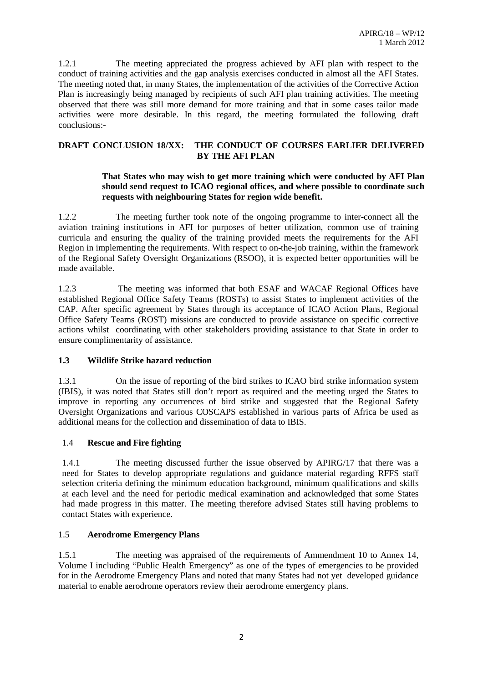1.2.1 The meeting appreciated the progress achieved by AFI plan with respect to the conduct of training activities and the gap analysis exercises conducted in almost all the AFI States. The meeting noted that, in many States, the implementation of the activities of the Corrective Action Plan is increasingly being managed by recipients of such AFI plan training activities. The meeting observed that there was still more demand for more training and that in some cases tailor made activities were more desirable. In this regard, the meeting formulated the following draft conclusions:-

#### **DRAFT CONCLUSION 18/XX: THE CONDUCT OF COURSES EARLIER DELIVERED BY THE AFI PLAN**

#### **That States who may wish to get more training which were conducted by AFI Plan should send request to ICAO regional offices, and where possible to coordinate such requests with neighbouring States for region wide benefit.**

1.2.2 The meeting further took note of the ongoing programme to inter-connect all the aviation training institutions in AFI for purposes of better utilization, common use of training curricula and ensuring the quality of the training provided meets the requirements for the AFI Region in implementing the requirements. With respect to on-the-job training, within the framework of the Regional Safety Oversight Organizations (RSOO), it is expected better opportunities will be made available.

1.2.3 The meeting was informed that both ESAF and WACAF Regional Offices have established Regional Office Safety Teams (ROSTs) to assist States to implement activities of the CAP. After specific agreement by States through its acceptance of ICAO Action Plans, Regional Office Safety Teams (ROST) missions are conducted to provide assistance on specific corrective actions whilst coordinating with other stakeholders providing assistance to that State in order to ensure complimentarity of assistance.

## **1.3 Wildlife Strike hazard reduction**

1.3.1 On the issue of reporting of the bird strikes to ICAO bird strike information system (IBIS), it was noted that States still don't report as required and the meeting urged the States to improve in reporting any occurrences of bird strike and suggested that the Regional Safety Oversight Organizations and various COSCAPS established in various parts of Africa be used as additional means for the collection and dissemination of data to IBIS.

## 1.4 **Rescue and Fire fighting**

1.4.1 The meeting discussed further the issue observed by APIRG/17 that there was a need for States to develop appropriate regulations and guidance material regarding RFFS staff selection criteria defining the minimum education background, minimum qualifications and skills at each level and the need for periodic medical examination and acknowledged that some States had made progress in this matter. The meeting therefore advised States still having problems to contact States with experience.

## 1.5 **Aerodrome Emergency Plans**

1.5.1 The meeting was appraised of the requirements of Ammendment 10 to Annex 14, Volume I including "Public Health Emergency" as one of the types of emergencies to be provided for in the Aerodrome Emergency Plans and noted that many States had not yet developed guidance material to enable aerodrome operators review their aerodrome emergency plans.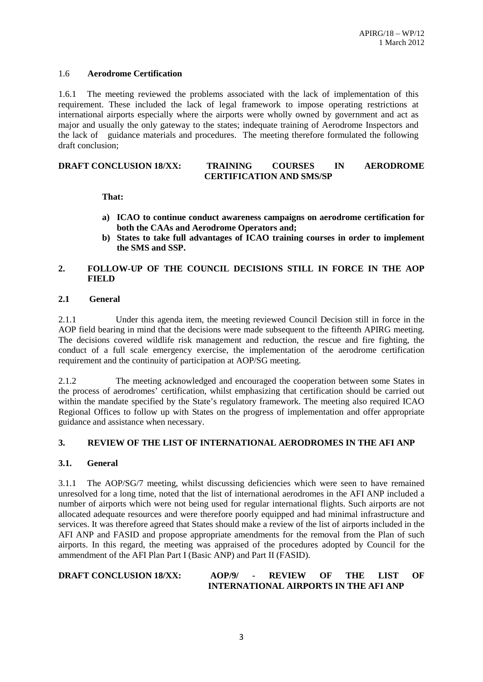#### 1.6 **Aerodrome Certification**

1.6.1 The meeting reviewed the problems associated with the lack of implementation of this requirement. These included the lack of legal framework to impose operating restrictions at international airports especially where the airports were wholly owned by government and act as major and usually the only gateway to the states; indequate training of Aerodrome Inspectors and the lack of guidance materials and procedures. The meeting therefore formulated the following draft conclusion;

#### **DRAFT CONCLUSION 18/XX: TRAINING COURSES IN AERODROME CERTIFICATION AND SMS/SP**

#### **That:**

- **a) ICAO to continue conduct awareness campaigns on aerodrome certification for both the CAAs and Aerodrome Operators and;**
- **b) States to take full advantages of ICAO training courses in order to implement the SMS and SSP.**

#### **2. FOLLOW-UP OF THE COUNCIL DECISIONS STILL IN FORCE IN THE AOP FIELD**

#### **2.1 General**

2.1.1 Under this agenda item, the meeting reviewed Council Decision still in force in the AOP field bearing in mind that the decisions were made subsequent to the fifteenth APIRG meeting. The decisions covered wildlife risk management and reduction, the rescue and fire fighting, the conduct of a full scale emergency exercise, the implementation of the aerodrome certification requirement and the continuity of participation at AOP/SG meeting.

2.1.2 The meeting acknowledged and encouraged the cooperation between some States in the process of aerodromes' certification, whilst emphasizing that certification should be carried out within the mandate specified by the State's regulatory framework. The meeting also required ICAO Regional Offices to follow up with States on the progress of implementation and offer appropriate guidance and assistance when necessary.

## **3. REVIEW OF THE LIST OF INTERNATIONAL AERODROMES IN THE AFI ANP**

#### **3.1. General**

3.1.1 The AOP/SG/7 meeting, whilst discussing deficiencies which were seen to have remained unresolved for a long time, noted that the list of international aerodromes in the AFI ANP included a number of airports which were not being used for regular international flights. Such airports are not allocated adequate resources and were therefore poorly equipped and had minimal infrastructure and services. It was therefore agreed that States should make a review of the list of airports included in the AFI ANP and FASID and propose appropriate amendments for the removal from the Plan of such airports. In this regard, the meeting was appraised of the procedures adopted by Council for the ammendment of the AFI Plan Part I (Basic ANP) and Part II (FASID).

#### **DRAFT CONCLUSION 18/XX: AOP/9/ - REVIEW OF THE LIST OF INTERNATIONAL AIRPORTS IN THE AFI ANP**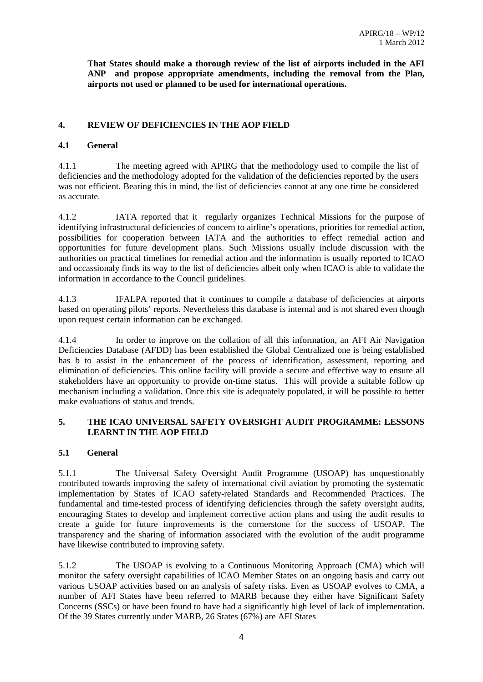**That States should make a thorough review of the list of airports included in the AFI ANP and propose appropriate amendments, including the removal from the Plan, airports not used or planned to be used for international operations.** 

## **4. REVIEW OF DEFICIENCIES IN THE AOP FIELD**

## **4.1 General**

4.1.1 The meeting agreed with APIRG that the methodology used to compile the list of deficiencies and the methodology adopted for the validation of the deficiencies reported by the users was not efficient. Bearing this in mind, the list of deficiencies cannot at any one time be considered as accurate.

4.1.2 IATA reported that it regularly organizes Technical Missions for the purpose of identifying infrastructural deficiencies of concern to airline's operations, priorities for remedial action, possibilities for cooperation between IATA and the authorities to effect remedial action and opportunities for future development plans. Such Missions usually include discussion with the authorities on practical timelines for remedial action and the information is usually reported to ICAO and occassionaly finds its way to the list of deficiencies albeit only when ICAO is able to validate the information in accordance to the Council guidelines.

4.1.3 IFALPA reported that it continues to compile a database of deficiencies at airports based on operating pilots' reports. Nevertheless this database is internal and is not shared even though upon request certain information can be exchanged.

4.1.4 In order to improve on the collation of all this information, an AFI Air Navigation Deficiencies Database (AFDD) has been established the Global Centralized one is being established has b to assist in the enhancement of the process of identification, assessment, reporting and elimination of deficiencies. This online facility will provide a secure and effective way to ensure all stakeholders have an opportunity to provide on-time status. This will provide a suitable follow up mechanism including a validation. Once this site is adequately populated, it will be possible to better make evaluations of status and trends.

## **5. THE ICAO UNIVERSAL SAFETY OVERSIGHT AUDIT PROGRAMME: LESSONS LEARNT IN THE AOP FIELD**

## **5.1 General**

5.1.1 The Universal Safety Oversight Audit Programme (USOAP) has unquestionably contributed towards improving the safety of international civil aviation by promoting the systematic implementation by States of ICAO safety-related Standards and Recommended Practices. The fundamental and time-tested process of identifying deficiencies through the safety oversight audits, encouraging States to develop and implement corrective action plans and using the audit results to create a guide for future improvements is the cornerstone for the success of USOAP. The transparency and the sharing of information associated with the evolution of the audit programme have likewise contributed to improving safety.

5.1.2 The USOAP is evolving to a Continuous Monitoring Approach (CMA) which will monitor the safety oversight capabilities of ICAO Member States on an ongoing basis and carry out various USOAP activities based on an analysis of safety risks. Even as USOAP evolves to CMA, a number of AFI States have been referred to MARB because they either have Significant Safety Concerns (SSCs) or have been found to have had a significantly high level of lack of implementation. Of the 39 States currently under MARB, 26 States (67%) are AFI States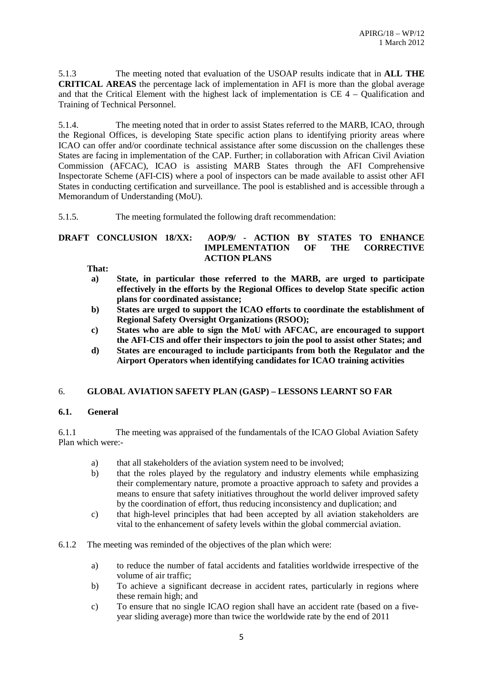5.1.3 The meeting noted that evaluation of the USOAP results indicate that in **ALL THE CRITICAL AREAS** the percentage lack of implementation in AFI is more than the global average and that the Critical Element with the highest lack of implementation is CE 4 – Qualification and Training of Technical Personnel.

5.1.4. The meeting noted that in order to assist States referred to the MARB, ICAO, through the Regional Offices, is developing State specific action plans to identifying priority areas where ICAO can offer and/or coordinate technical assistance after some discussion on the challenges these States are facing in implementation of the CAP. Further; in collaboration with African Civil Aviation Commission (AFCAC), ICAO is assisting MARB States through the AFI Comprehensive Inspectorate Scheme (AFI-CIS) where a pool of inspectors can be made available to assist other AFI States in conducting certification and surveillance. The pool is established and is accessible through a Memorandum of Understanding (MoU).

#### 5.1.5. The meeting formulated the following draft recommendation:

#### **DRAFT CONCLUSION 18/XX: AOP/9/ - ACTION BY STATES TO ENHANCE IMPLEMENTATION OF THE CORRECTIVE ACTION PLANS**

**That:**

- **a) State, in particular those referred to the MARB, are urged to participate effectively in the efforts by the Regional Offices to develop State specific action plans for coordinated assistance;**
- **b) States are urged to support the ICAO efforts to coordinate the establishment of Regional Safety Oversight Organizations (RSOO);**
- **c) States who are able to sign the MoU with AFCAC, are encouraged to support the AFI-CIS and offer their inspectors to join the pool to assist other States; and**
- **d) States are encouraged to include participants from both the Regulator and the Airport Operators when identifying candidates for ICAO training activities**

#### 6. **GLOBAL AVIATION SAFETY PLAN (GASP) – LESSONS LEARNT SO FAR**

#### **6.1. General**

6.1.1 The meeting was appraised of the fundamentals of the ICAO Global Aviation Safety Plan which were:-

- a) that all stakeholders of the aviation system need to be involved;
- b) that the roles played by the regulatory and industry elements while emphasizing their complementary nature, promote a proactive approach to safety and provides a means to ensure that safety initiatives throughout the world deliver improved safety by the coordination of effort, thus reducing inconsistency and duplication; and
- c) that high-level principles that had been accepted by all aviation stakeholders are vital to the enhancement of safety levels within the global commercial aviation.
- 6.1.2 The meeting was reminded of the objectives of the plan which were:
	- a) to reduce the number of fatal accidents and fatalities worldwide irrespective of the volume of air traffic;
	- b) To achieve a significant decrease in accident rates, particularly in regions where these remain high; and
	- c) To ensure that no single ICAO region shall have an accident rate (based on a fiveyear sliding average) more than twice the worldwide rate by the end of 2011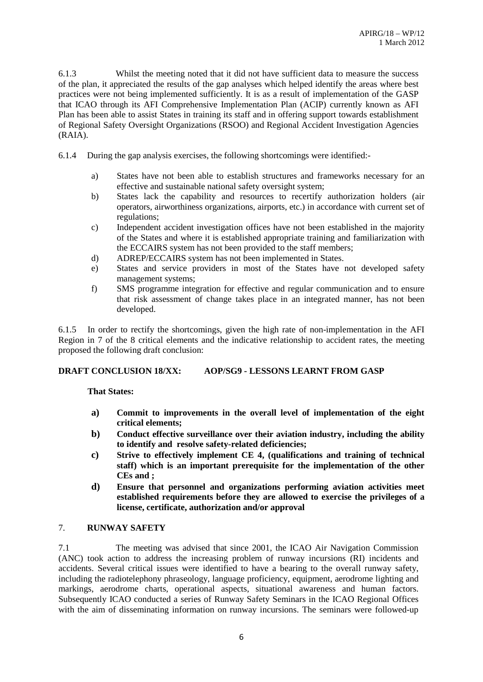6.1.3 Whilst the meeting noted that it did not have sufficient data to measure the success of the plan, it appreciated the results of the gap analyses which helped identify the areas where best practices were not being implemented sufficiently. It is as a result of implementation of the GASP that ICAO through its AFI Comprehensive Implementation Plan (ACIP) currently known as AFI Plan has been able to assist States in training its staff and in offering support towards establishment of Regional Safety Oversight Organizations (RSOO) and Regional Accident Investigation Agencies (RAIA).

6.1.4 During the gap analysis exercises, the following shortcomings were identified:-

- a) States have not been able to establish structures and frameworks necessary for an effective and sustainable national safety oversight system;
- b) States lack the capability and resources to recertify authorization holders (air operators, airworthiness organizations, airports, etc.) in accordance with current set of regulations;
- c) Independent accident investigation offices have not been established in the majority of the States and where it is established appropriate training and familiarization with the ECCAIRS system has not been provided to the staff members;
- d) ADREP/ECCAIRS system has not been implemented in States.
- e) States and service providers in most of the States have not developed safety management systems;
- f) SMS programme integration for effective and regular communication and to ensure that risk assessment of change takes place in an integrated manner, has not been developed.

6.1.5 In order to rectify the shortcomings, given the high rate of non-implementation in the AFI Region in 7 of the 8 critical elements and the indicative relationship to accident rates, the meeting proposed the following draft conclusion:

## **DRAFT CONCLUSION 18/XX: AOP/SG9 - LESSONS LEARNT FROM GASP**

**That States:**

- **a) Commit to improvements in the overall level of implementation of the eight critical elements;**
- **b) Conduct effective surveillance over their aviation industry, including the ability to identify and resolve safety-related deficiencies;**
- **c) Strive to effectively implement CE 4, (qualifications and training of technical staff) which is an important prerequisite for the implementation of the other CEs and ;**
- **d) Ensure that personnel and organizations performing aviation activities meet established requirements before they are allowed to exercise the privileges of a license, certificate, authorization and/or approval**

## 7. **RUNWAY SAFETY**

7.1 The meeting was advised that since 2001, the ICAO Air Navigation Commission (ANC) took action to address the increasing problem of runway incursions (RI) incidents and accidents. Several critical issues were identified to have a bearing to the overall runway safety, including the radiotelephony phraseology, language proficiency, equipment, aerodrome lighting and markings, aerodrome charts, operational aspects, situational awareness and human factors. Subsequently ICAO conducted a series of Runway Safety Seminars in the ICAO Regional Offices with the aim of disseminating information on runway incursions. The seminars were followed-up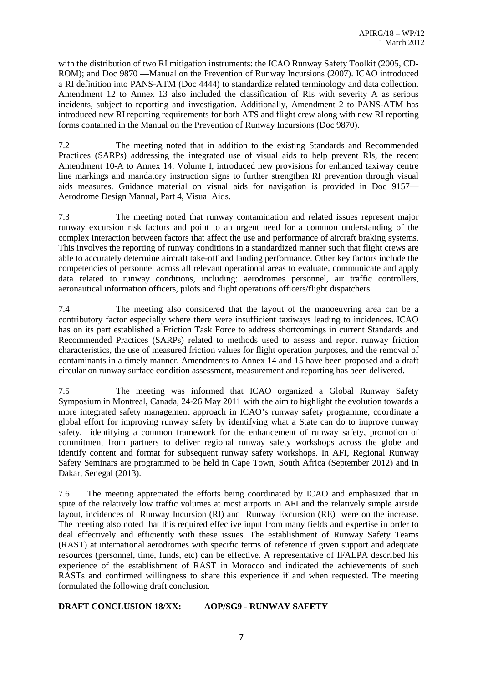with the distribution of two RI mitigation instruments: the ICAO Runway Safety Toolkit (2005, CD-ROM); and Doc 9870 —Manual on the Prevention of Runway Incursions (2007). ICAO introduced a RI definition into PANS-ATM (Doc 4444) to standardize related terminology and data collection. Amendment 12 to Annex 13 also included the classification of RIs with severity A as serious incidents, subject to reporting and investigation. Additionally, Amendment 2 to PANS-ATM has introduced new RI reporting requirements for both ATS and flight crew along with new RI reporting forms contained in the Manual on the Prevention of Runway Incursions (Doc 9870).

7.2 The meeting noted that in addition to the existing Standards and Recommended Practices (SARPs) addressing the integrated use of visual aids to help prevent RIs, the recent Amendment 10-A to Annex 14, Volume I, introduced new provisions for enhanced taxiway centre line markings and mandatory instruction signs to further strengthen RI prevention through visual aids measures. Guidance material on visual aids for navigation is provided in Doc 9157— Aerodrome Design Manual, Part 4, Visual Aids.

7.3 The meeting noted that runway contamination and related issues represent major runway excursion risk factors and point to an urgent need for a common understanding of the complex interaction between factors that affect the use and performance of aircraft braking systems. This involves the reporting of runway conditions in a standardized manner such that flight crews are able to accurately determine aircraft take-off and landing performance. Other key factors include the competencies of personnel across all relevant operational areas to evaluate, communicate and apply data related to runway conditions, including: aerodromes personnel, air traffic controllers, aeronautical information officers, pilots and flight operations officers/flight dispatchers.

7.4 The meeting also considered that the layout of the manoeuvring area can be a contributory factor especially where there were insufficient taxiways leading to incidences. ICAO has on its part established a Friction Task Force to address shortcomings in current Standards and Recommended Practices (SARPs) related to methods used to assess and report runway friction characteristics, the use of measured friction values for flight operation purposes, and the removal of contaminants in a timely manner. Amendments to Annex 14 and 15 have been proposed and a draft circular on runway surface condition assessment, measurement and reporting has been delivered.

7.5 The meeting was informed that ICAO organized a Global Runway Safety Symposium in Montreal, Canada, 24-26 May 2011 with the aim to highlight the evolution towards a more integrated safety management approach in ICAO's runway safety programme, coordinate a global effort for improving runway safety by identifying what a State can do to improve runway safety, identifying a common framework for the enhancement of runway safety, promotion of commitment from partners to deliver regional runway safety workshops across the globe and identify content and format for subsequent runway safety workshops. In AFI, Regional Runway Safety Seminars are programmed to be held in Cape Town, South Africa (September 2012) and in Dakar, Senegal (2013).

7.6 The meeting appreciated the efforts being coordinated by ICAO and emphasized that in spite of the relatively low traffic volumes at most airports in AFI and the relatively simple airside layout, incidences of Runway Incursion (RI) and Runway Excursion (RE) were on the increase. The meeting also noted that this required effective input from many fields and expertise in order to deal effectively and efficiently with these issues. The establishment of Runway Safety Teams (RAST) at international aerodromes with specific terms of reference if given support and adequate resources (personnel, time, funds, etc) can be effective. A representative of IFALPA described his experience of the establishment of RAST in Morocco and indicated the achievements of such RASTs and confirmed willingness to share this experience if and when requested. The meeting formulated the following draft conclusion.

#### **DRAFT CONCLUSION 18/XX: AOP/SG9 - RUNWAY SAFETY**